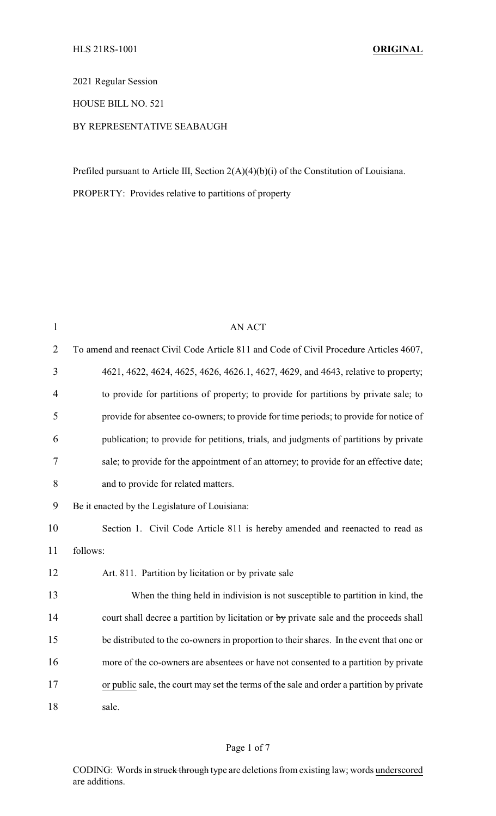2021 Regular Session

HOUSE BILL NO. 521

## BY REPRESENTATIVE SEABAUGH

Prefiled pursuant to Article III, Section 2(A)(4)(b)(i) of the Constitution of Louisiana.

PROPERTY: Provides relative to partitions of property

| $\mathbf{1}$   | <b>AN ACT</b>                                                                            |
|----------------|------------------------------------------------------------------------------------------|
| $\overline{2}$ | To amend and reenact Civil Code Article 811 and Code of Civil Procedure Articles 4607,   |
| 3              | 4621, 4622, 4624, 4625, 4626, 4626.1, 4627, 4629, and 4643, relative to property;        |
| $\overline{4}$ | to provide for partitions of property; to provide for partitions by private sale; to     |
| 5              | provide for absentee co-owners; to provide for time periods; to provide for notice of    |
| 6              | publication; to provide for petitions, trials, and judgments of partitions by private    |
| 7              | sale; to provide for the appointment of an attorney; to provide for an effective date;   |
| 8              | and to provide for related matters.                                                      |
| 9              | Be it enacted by the Legislature of Louisiana:                                           |
| 10             | Section 1. Civil Code Article 811 is hereby amended and reenacted to read as             |
| 11             | follows:                                                                                 |
| 12             | Art. 811. Partition by licitation or by private sale                                     |
| 13             | When the thing held in indivision is not susceptible to partition in kind, the           |
| 14             | court shall decree a partition by licitation or by private sale and the proceeds shall   |
| 15             | be distributed to the co-owners in proportion to their shares. In the event that one or  |
| 16             | more of the co-owners are absentees or have not consented to a partition by private      |
| 17             | or public sale, the court may set the terms of the sale and order a partition by private |
| 18             | sale.                                                                                    |

## Page 1 of 7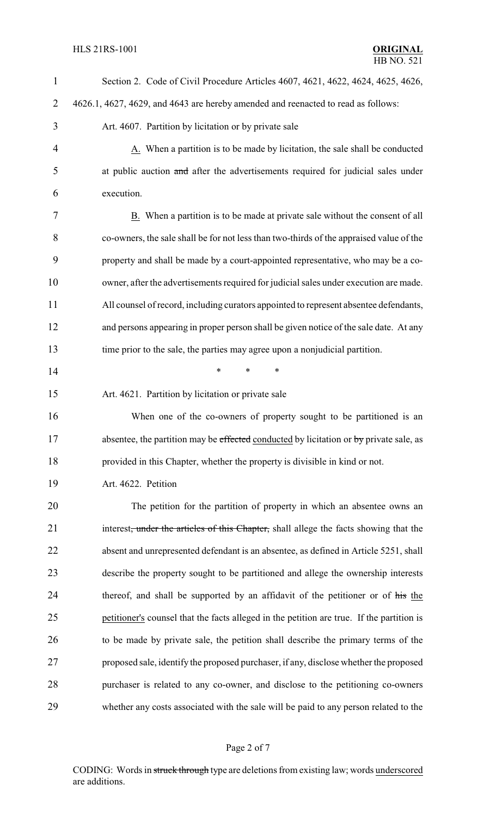| $\mathbf{1}$   | Section 2. Code of Civil Procedure Articles 4607, 4621, 4622, 4624, 4625, 4626,                   |  |  |
|----------------|---------------------------------------------------------------------------------------------------|--|--|
| $\overline{2}$ | 4626.1, 4627, 4629, and 4643 are hereby amended and reenacted to read as follows:                 |  |  |
| 3              | Art. 4607. Partition by licitation or by private sale                                             |  |  |
| 4              | A. When a partition is to be made by licitation, the sale shall be conducted                      |  |  |
| 5              | at public auction and after the advertisements required for judicial sales under                  |  |  |
| 6              | execution.                                                                                        |  |  |
| 7              | B. When a partition is to be made at private sale without the consent of all                      |  |  |
| 8              | co-owners, the sale shall be for not less than two-thirds of the appraised value of the           |  |  |
| 9              | property and shall be made by a court-appointed representative, who may be a co-                  |  |  |
| 10             | owner, after the advertisements required for judicial sales under execution are made.             |  |  |
| 11             | All counsel of record, including curators appointed to represent absentee defendants,             |  |  |
| 12             | and persons appearing in proper person shall be given notice of the sale date. At any             |  |  |
| 13             | time prior to the sale, the parties may agree upon a nonjudicial partition.                       |  |  |
| 14             | $\ast$<br>$\ast$<br>∗                                                                             |  |  |
| 15             | Art. 4621. Partition by licitation or private sale                                                |  |  |
| 16             | When one of the co-owners of property sought to be partitioned is an                              |  |  |
| 17             | absentee, the partition may be effected conducted by licitation or by private sale, as            |  |  |
| 18             | provided in this Chapter, whether the property is divisible in kind or not.                       |  |  |
| 19             | Art. 4622. Petition                                                                               |  |  |
| 20             | The petition for the partition of property in which an absentee owns an                           |  |  |
| 21             | interest <del>, under the articles of this Chapter,</del> shall allege the facts showing that the |  |  |
| 22             | absent and unrepresented defendant is an absentee, as defined in Article 5251, shall              |  |  |
| 23             | describe the property sought to be partitioned and allege the ownership interests                 |  |  |
| 24             | thereof, and shall be supported by an affidavit of the petitioner or of his the                   |  |  |
| 25             | petitioner's counsel that the facts alleged in the petition are true. If the partition is         |  |  |
| 26             | to be made by private sale, the petition shall describe the primary terms of the                  |  |  |
| 27             | proposed sale, identify the proposed purchaser, if any, disclose whether the proposed             |  |  |
| 28             | purchaser is related to any co-owner, and disclose to the petitioning co-owners                   |  |  |
| 29             | whether any costs associated with the sale will be paid to any person related to the              |  |  |

# Page 2 of 7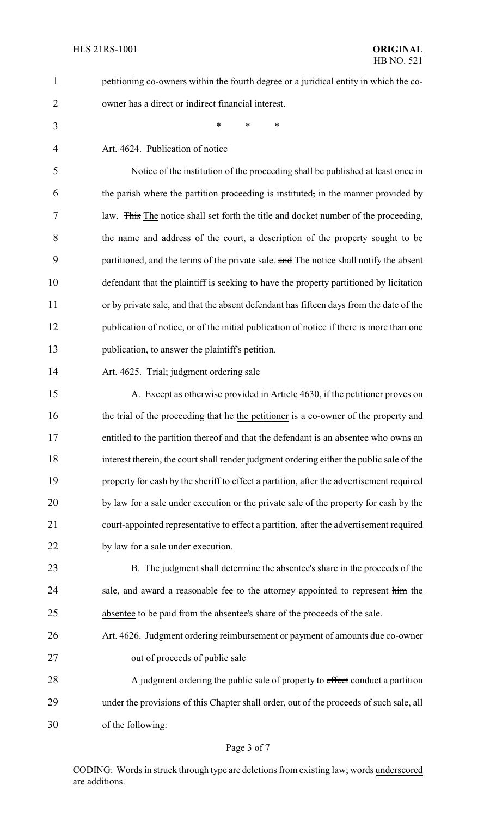- petitioning co-owners within the fourth degree or a juridical entity in which the co-owner has a direct or indirect financial interest.
- \* \* \*

Art. 4624. Publication of notice

 Notice of the institution of the proceeding shall be published at least once in the parish where the partition proceeding is instituted, in the manner provided by law. This The notice shall set forth the title and docket number of the proceeding, the name and address of the court, a description of the property sought to be 9 partitioned, and the terms of the private sale. and The notice shall notify the absent defendant that the plaintiff is seeking to have the property partitioned by licitation or by private sale, and that the absent defendant has fifteen days from the date of the publication of notice, or of the initial publication of notice if there is more than one publication, to answer the plaintiff's petition.

Art. 4625. Trial; judgment ordering sale

 A. Except as otherwise provided in Article 4630, if the petitioner proves on 16 the trial of the proceeding that he the petitioner is a co-owner of the property and entitled to the partition thereof and that the defendant is an absentee who owns an interest therein, the court shall render judgment ordering either the public sale of the property for cash by the sheriff to effect a partition, after the advertisement required by law for a sale under execution or the private sale of the property for cash by the court-appointed representative to effect a partition, after the advertisement required by law for a sale under execution.

 B. The judgment shall determine the absentee's share in the proceeds of the 24 sale, and award a reasonable fee to the attorney appointed to represent him the absentee to be paid from the absentee's share of the proceeds of the sale.

 Art. 4626. Judgment ordering reimbursement or payment of amounts due co-owner out of proceeds of public sale

28 A judgment ordering the public sale of property to effect conduct a partition under the provisions of this Chapter shall order, out of the proceeds of such sale, all of the following:

#### Page 3 of 7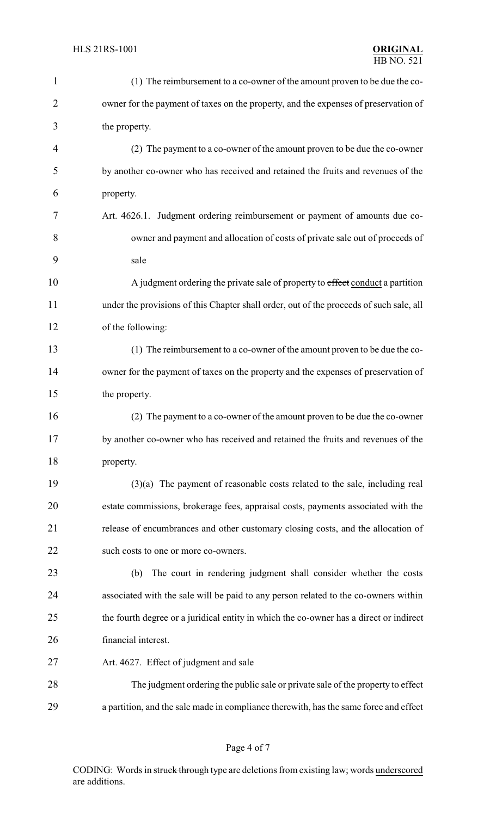| $\mathbf{1}$   | (1) The reimbursement to a co-owner of the amount proven to be due the co-              |  |
|----------------|-----------------------------------------------------------------------------------------|--|
| $\overline{2}$ | owner for the payment of taxes on the property, and the expenses of preservation of     |  |
| 3              | the property.                                                                           |  |
| $\overline{4}$ | (2) The payment to a co-owner of the amount proven to be due the co-owner               |  |
| 5              | by another co-owner who has received and retained the fruits and revenues of the        |  |
| 6              | property.                                                                               |  |
| 7              | Art. 4626.1. Judgment ordering reimbursement or payment of amounts due co-              |  |
| 8              | owner and payment and allocation of costs of private sale out of proceeds of            |  |
| 9              | sale                                                                                    |  |
| 10             | A judgment ordering the private sale of property to effect conduct a partition          |  |
| 11             | under the provisions of this Chapter shall order, out of the proceeds of such sale, all |  |
| 12             | of the following:                                                                       |  |
| 13             | (1) The reimbursement to a co-owner of the amount proven to be due the co-              |  |
| 14             | owner for the payment of taxes on the property and the expenses of preservation of      |  |
| 15             | the property.                                                                           |  |
| 16             | (2) The payment to a co-owner of the amount proven to be due the co-owner               |  |
| 17             | by another co-owner who has received and retained the fruits and revenues of the        |  |
| 18             | property.                                                                               |  |
| 19             | $(3)(a)$ The payment of reasonable costs related to the sale, including real            |  |
| 20             | estate commissions, brokerage fees, appraisal costs, payments associated with the       |  |
| 21             | release of encumbrances and other customary closing costs, and the allocation of        |  |
| 22             | such costs to one or more co-owners.                                                    |  |
| 23             | The court in rendering judgment shall consider whether the costs<br>(b)                 |  |
| 24             | associated with the sale will be paid to any person related to the co-owners within     |  |
| 25             | the fourth degree or a juridical entity in which the co-owner has a direct or indirect  |  |
| 26             | financial interest.                                                                     |  |
| 27             | Art. 4627. Effect of judgment and sale                                                  |  |
| 28             | The judgment ordering the public sale or private sale of the property to effect         |  |
| 29             | a partition, and the sale made in compliance therewith, has the same force and effect   |  |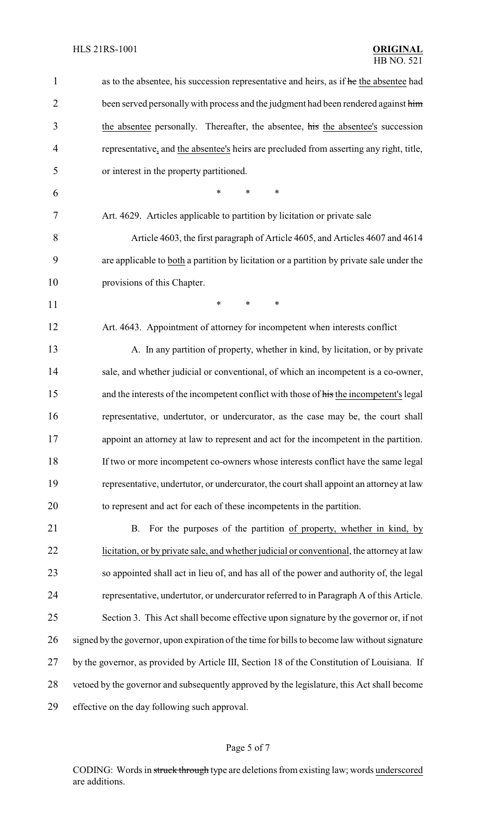| 1              | as to the absentee, his succession representative and heirs, as if he the absentee had        |  |  |
|----------------|-----------------------------------------------------------------------------------------------|--|--|
| $\overline{2}$ | been served personally with process and the judgment had been rendered against him            |  |  |
| 3              | the absentee personally. Thereafter, the absentee, his the absentee's succession              |  |  |
| 4              | representative, and the absentee's heirs are precluded from asserting any right, title,       |  |  |
| 5              | or interest in the property partitioned.                                                      |  |  |
| 6              | $\ast$<br>*<br>*                                                                              |  |  |
| 7              | Art. 4629. Articles applicable to partition by licitation or private sale                     |  |  |
| 8              | Article 4603, the first paragraph of Article 4605, and Articles 4607 and 4614                 |  |  |
| 9              | are applicable to both a partition by licitation or a partition by private sale under the     |  |  |
| 10             | provisions of this Chapter.                                                                   |  |  |
| 11             | $\ast$<br>*<br>∗                                                                              |  |  |
| 12             | Art. 4643. Appointment of attorney for incompetent when interests conflict                    |  |  |
| 13             | A. In any partition of property, whether in kind, by licitation, or by private                |  |  |
| 14             | sale, and whether judicial or conventional, of which an incompetent is a co-owner,            |  |  |
| 15             | and the interests of the incompetent conflict with those of his the incompetent's legal       |  |  |
| 16             | representative, undertutor, or undercurator, as the case may be, the court shall              |  |  |
| 17             | appoint an attorney at law to represent and act for the incompetent in the partition.         |  |  |
| 18             | If two or more incompetent co-owners whose interests conflict have the same legal             |  |  |
| 19             | representative, undertutor, or undercurator, the court shall appoint an attorney at law       |  |  |
| 20             | to represent and act for each of these incompetents in the partition.                         |  |  |
| 21             | For the purposes of the partition of property, whether in kind, by<br>B.                      |  |  |
| 22             | licitation, or by private sale, and whether judicial or conventional, the attorney at law     |  |  |
| 23             | so appointed shall act in lieu of, and has all of the power and authority of, the legal       |  |  |
| 24             | representative, undertutor, or undercurator referred to in Paragraph A of this Article.       |  |  |
| 25             | Section 3. This Act shall become effective upon signature by the governor or, if not          |  |  |
| 26             | signed by the governor, upon expiration of the time for bills to become law without signature |  |  |
| 27             | by the governor, as provided by Article III, Section 18 of the Constitution of Louisiana. If  |  |  |
| 28             | vetoed by the governor and subsequently approved by the legislature, this Act shall become    |  |  |
| 29             | effective on the day following such approval.                                                 |  |  |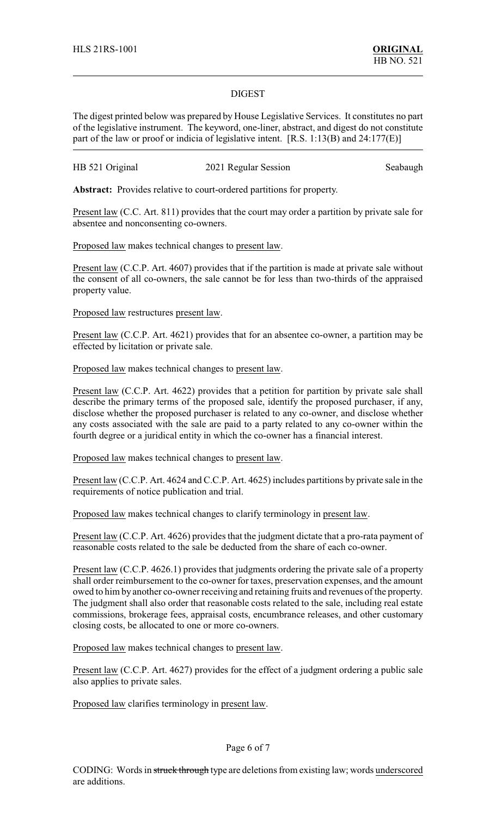### DIGEST

The digest printed below was prepared by House Legislative Services. It constitutes no part of the legislative instrument. The keyword, one-liner, abstract, and digest do not constitute part of the law or proof or indicia of legislative intent. [R.S. 1:13(B) and 24:177(E)]

| HB 521 Original | 2021 Regular Session | Seabaugh |
|-----------------|----------------------|----------|
|-----------------|----------------------|----------|

**Abstract:** Provides relative to court-ordered partitions for property.

Present law (C.C. Art. 811) provides that the court may order a partition by private sale for absentee and nonconsenting co-owners.

Proposed law makes technical changes to present law.

Present law (C.C.P. Art. 4607) provides that if the partition is made at private sale without the consent of all co-owners, the sale cannot be for less than two-thirds of the appraised property value.

Proposed law restructures present law.

Present law (C.C.P. Art. 4621) provides that for an absentee co-owner, a partition may be effected by licitation or private sale.

Proposed law makes technical changes to present law.

Present law (C.C.P. Art. 4622) provides that a petition for partition by private sale shall describe the primary terms of the proposed sale, identify the proposed purchaser, if any, disclose whether the proposed purchaser is related to any co-owner, and disclose whether any costs associated with the sale are paid to a party related to any co-owner within the fourth degree or a juridical entity in which the co-owner has a financial interest.

Proposed law makes technical changes to present law.

Present law (C.C.P. Art. 4624 and C.C.P. Art. 4625) includes partitions by private sale in the requirements of notice publication and trial.

Proposed law makes technical changes to clarify terminology in present law.

Present law (C.C.P. Art. 4626) provides that the judgment dictate that a pro-rata payment of reasonable costs related to the sale be deducted from the share of each co-owner.

Present law (C.C.P. 4626.1) provides that judgments ordering the private sale of a property shall order reimbursement to the co-owner for taxes, preservation expenses, and the amount owed to him by another co-owner receiving and retaining fruits and revenues of the property. The judgment shall also order that reasonable costs related to the sale, including real estate commissions, brokerage fees, appraisal costs, encumbrance releases, and other customary closing costs, be allocated to one or more co-owners.

Proposed law makes technical changes to present law.

Present law (C.C.P. Art. 4627) provides for the effect of a judgment ordering a public sale also applies to private sales.

Proposed law clarifies terminology in present law.